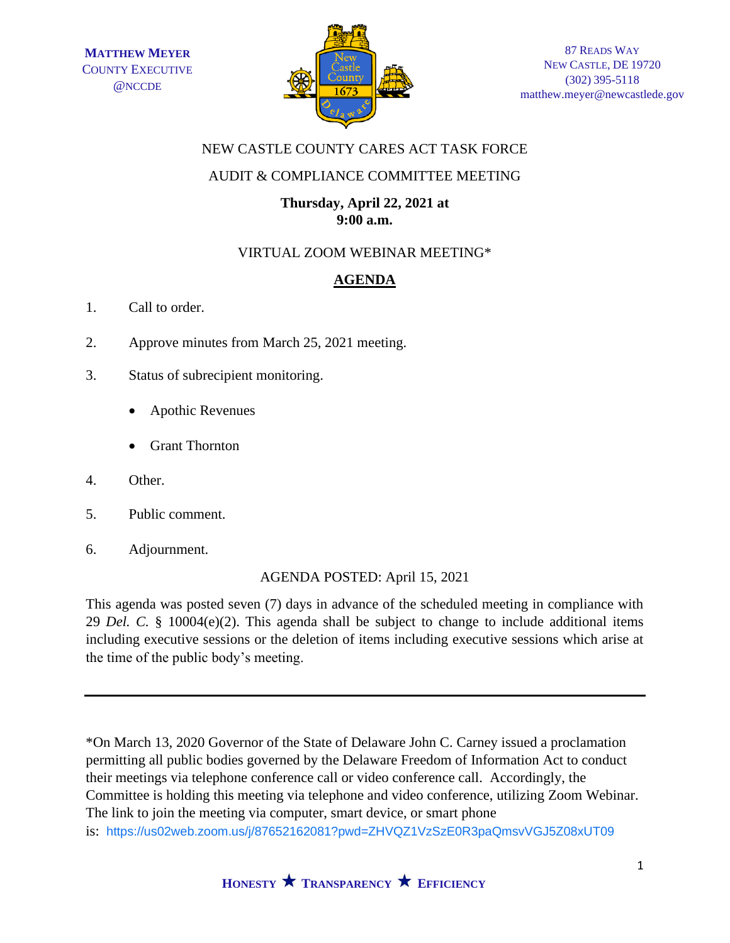

### NEW CASTLE COUNTY CARES ACT TASK FORCE

## AUDIT & COMPLIANCE COMMITTEE MEETING

**Thursday, April 22, 2021 at 9:00 a.m.**

## VIRTUAL ZOOM WEBINAR MEETING\*

# **AGENDA**

- 1. Call to order.
- 2. Approve minutes from March 25, 2021 meeting.
- 3. Status of subrecipient monitoring.
	- Apothic Revenues
	- Grant Thornton
- 4. Other.
- 5. Public comment.
- 6. Adjournment.

### AGENDA POSTED: April 15, 2021

This agenda was posted seven (7) days in advance of the scheduled meeting in compliance with 29 *Del. C.* § 10004(e)(2). This agenda shall be subject to change to include additional items including executive sessions or the deletion of items including executive sessions which arise at the time of the public body's meeting.

\*On March 13, 2020 Governor of the State of Delaware John C. Carney issued a proclamation permitting all public bodies governed by the Delaware Freedom of Information Act to conduct their meetings via telephone conference call or video conference call. Accordingly, the Committee is holding this meeting via telephone and video conference, utilizing Zoom Webinar. The link to join the meeting via computer, smart device, or smart phone is: <https://us02web.zoom.us/j/87652162081?pwd=ZHVQZ1VzSzE0R3paQmsvVGJ5Z08xUT09>